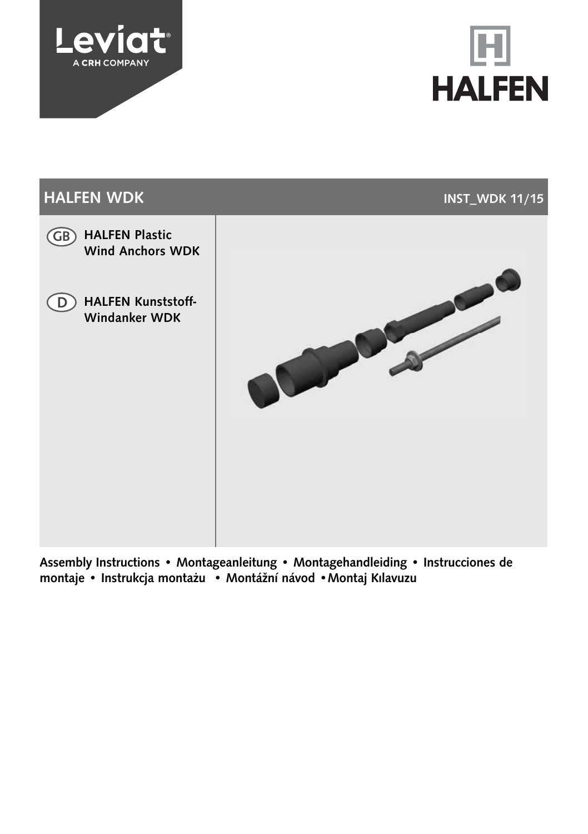





Assembly Instructions • Montageanleitung • Montagehandleiding • Instrucciones de montaje • Instrukcja montażu • Montážní návod •Montaj Kılavuzu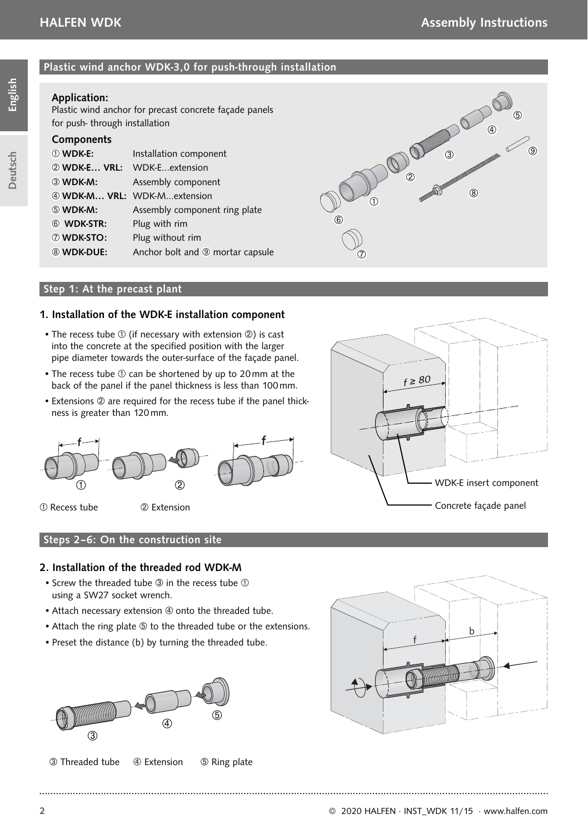**Deutsch** 

# Plastic wind anchor WDK-3,0 for push-through installation

# Application:

Plastic wind anchor for precast concrete façade panels for push- through installation

### **Components**

| ① WDK-E:          | Installation component                      |
|-------------------|---------------------------------------------|
|                   | 2 WDK-E VRL: WDK-Eextension                 |
| 3 WDK-M:          | Assembly component                          |
|                   | 4 WDK-M VRL: WDK-Mextension                 |
| 5 WDK-M:          | Assembly component ring plate               |
| 6 WDK-STR:        | Plug with rim                               |
| <b>7 WDK-STO:</b> | Plug without rim                            |
| 8 WDK-DUE:        | Anchor bolt and <sup>o</sup> mortar capsule |
|                   |                                             |



#### Step 1: At the precast plant

#### 1. Installation of the WDK-E installation component

- The recess tube  $\odot$  (if necessary with extension  $\oslash$ ) is cast into the concrete at the specified position with the larger pipe diameter towards the outer-surface of the façade panel.
- The recess tube  $\odot$  can be shortened by up to 20 mm at the back of the panel if the panel thickness is less than 100 mm.
- Extensions 2 are required for the recess tube if the panel thickness is greater than 120 mm.



Recess tube Extension



#### 2. Installation of the threaded rod WDK-M

- Screw the threaded tube  $\circled{3}$  in the recess tube  $\circled{1}$ using a SW27 socket wrench.
- Attach necessary extension 4 onto the threaded tube.
- Attach the ring plate  $\circledast$  to the threaded tube or the extensions.

• Preset the distance (b) by turning the threaded tube.



**3** Threaded tube **4** Extension **5** Ring plate



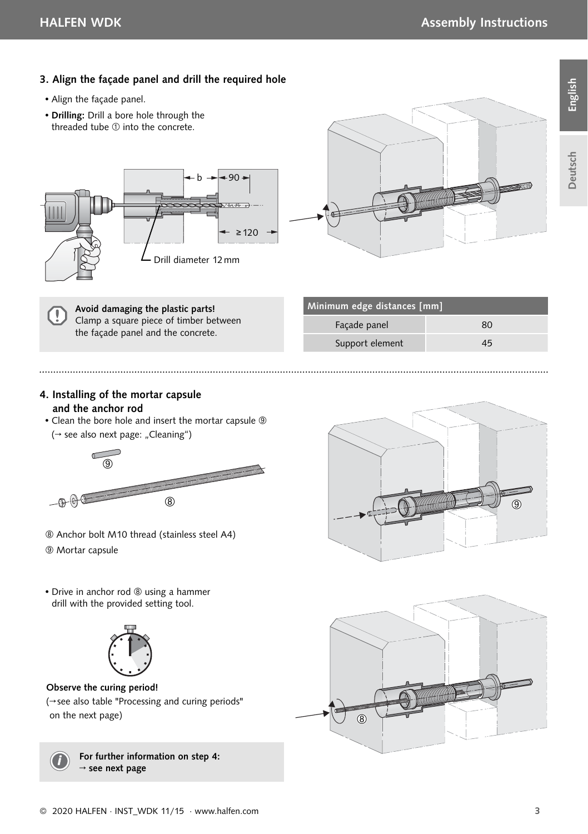

- Align the façade panel.
- Drilling: Drill a bore hole through the threaded tube  $\mathbb O$  into the concrete.





Avoid damaging the plastic parts! Clamp a square piece of timber between the façade panel and the concrete.

| Minimum edge distances [mm] |    |  |
|-----------------------------|----|--|
| Facade panel                | 80 |  |
| Support element             | 45 |  |
|                             |    |  |

#### 4. Installing of the mortar capsule and the anchor rod

• Clean the bore hole and insert the mortar capsule (→ see also next page: "Cleaning")



- Anchor bolt M10 thread (stainless steel A4)
- Mortar capsule

**THE REAL PROPERTY** ൫

• Drive in anchor rod <sup>®</sup> using a hammer drill with the provided setting tool.



Observe the curing period!

(→ see also table "Processing and curing periods" on the next page)



For further information on step 4:  $\rightarrow$  see next page

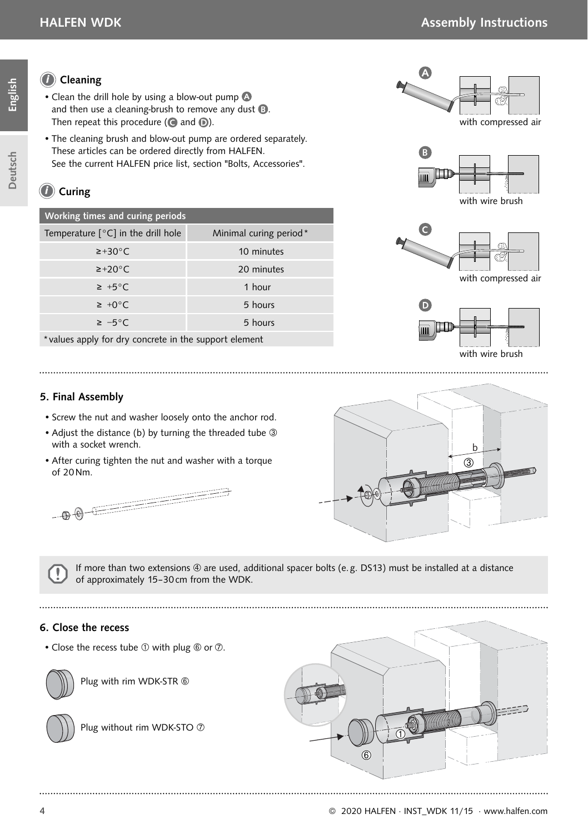Deutsch

# Cleaning *i*

- Clean the drill hole by using a blow-out pump and then use a cleaning-brush to remove any dust  $\mathbf{D}$ . Then repeat this procedure ( $\bigcirc$  and  $\bigcirc$ ).
- The cleaning brush and blow-out pump are ordered separately. These articles can be ordered directly from HALFEN. See the current HALFEN price list, section "Bolts, Accessories".

# *C* Curing

| Working times and curing periods                      |                        |  |
|-------------------------------------------------------|------------------------|--|
| Temperature $\lceil \circ C \rceil$ in the drill hole | Minimal curing period* |  |
| $\geq$ +30 $^{\circ}$ C                               | 10 minutes             |  |
| $\geq$ +20 $\degree$ C                                | 20 minutes             |  |
| $\geq +5^{\circ}$ C                                   | 1 hour                 |  |
| $\geq +0^{\circ}C$                                    | 5 hours                |  |
| $\geq -5^{\circ}$ C                                   | 5 hours                |  |
|                                                       |                        |  |

\*values apply for dry concrete in the support element

# 5. Final Assembly

- Screw the nut and washer loosely onto the anchor rod.
- Adjust the distance (b) by turning the threaded tube 3 with a socket wrench.
- After curing tighten the nut and washer with a torque of 20 Nm.



If more than two extensions  $@$  are used, additional spacer bolts (e.g. DS13) must be installed at a distance of approximately 15–30 cm from the WDK.

# 6. Close the recess

• Close the recess tube  $\mathbb O$  with plug  $\mathbb O$  or  $\mathbb O$ .



Plug with rim WDK-STR



Plug without rim WDK-STO  $@$ 











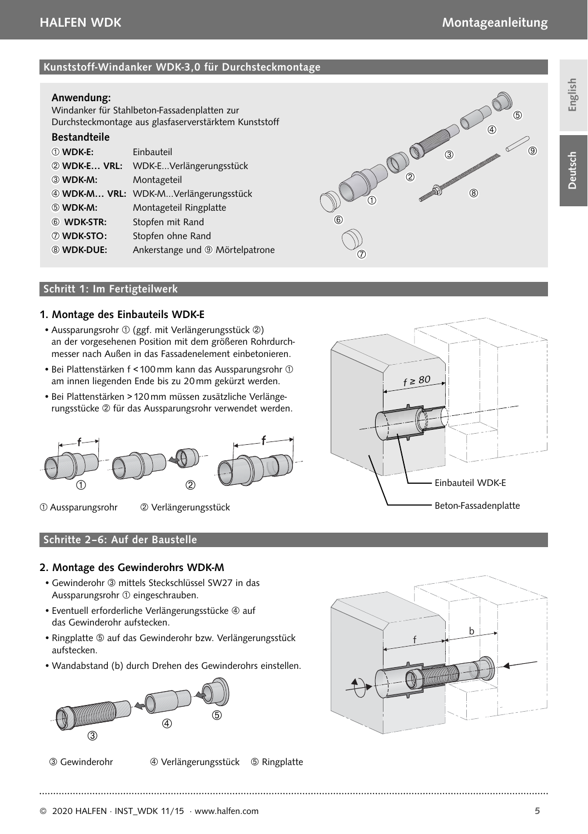#### Kunststoff-Windanker WDK-3,0 für Durchsteckmontage

#### Anwendung:

Windanker für Stahlbeton-Fassadenplatten zur Durchsteck montage aus glasfaserverstärktem Kunststoff

# Bestandteile

| 10 WDK-E:         | Einbauteil                                   |
|-------------------|----------------------------------------------|
| 2 WDK-E VRL:      | WDK-EVerlängerungsstück                      |
| 3 WDK-M:          | Montageteil                                  |
|                   | 4 WDK-M VRL: WDK-MVerlängerungsstück         |
| 5 WDK-M:          | Montageteil Ringplatte                       |
| 6 WDK-STR:        | Stopfen mit Rand                             |
| 7 WDK-STO:        | Stopfen ohne Rand                            |
| <b>8 WDK-DUE:</b> | Ankerstange und <sup>(2)</sup> Mörtelpatrone |



#### Schritt 1: Im Fertigteilwerk

#### 1. Montage des Einbauteils WDK-E

- Aussparungsrohr  $\textcircled{1}$  (ggf. mit Verlängerungsstück  $\textcircled{2}$ ) an der vorgesehenen Position mit dem größeren Rohrdurchmesser nach Außen in das Fassadenelement einbetonieren.
- Bei Plattenstärken f < 100 mm kann das Aussparungsrohr am innen liegenden Ende bis zu 20 mm gekürzt werden.
- Bei Plattenstärken > 120 mm müssen zusätzliche Verlängerungsstücke 2 für das Aussparungsrohr verwendet werden.



Aussparungsrohr Verlängerungsstück



#### 2. Montage des Gewinderohrs WDK-M

- Gewinderohr <sup>3</sup> mittels Steckschlüssel SW27 in das Aussparungsrohr  $\odot$  eingeschrauben.
- Eventuell erforderliche Verlängerungsstücke 4 auf das Gewinderohr aufstecken.
- Ringplatte  $\circled{a}$  auf das Gewinderohr bzw. Verlängerungsstück aufstecken.
- Wandabstand (b) durch Drehen des Gewinderohrs einstellen.



Gewinderohr Verlängerungsstück Ringplatte



 $f \geq 80$ Einbauteil WDK-E Beton-Fassadenplatte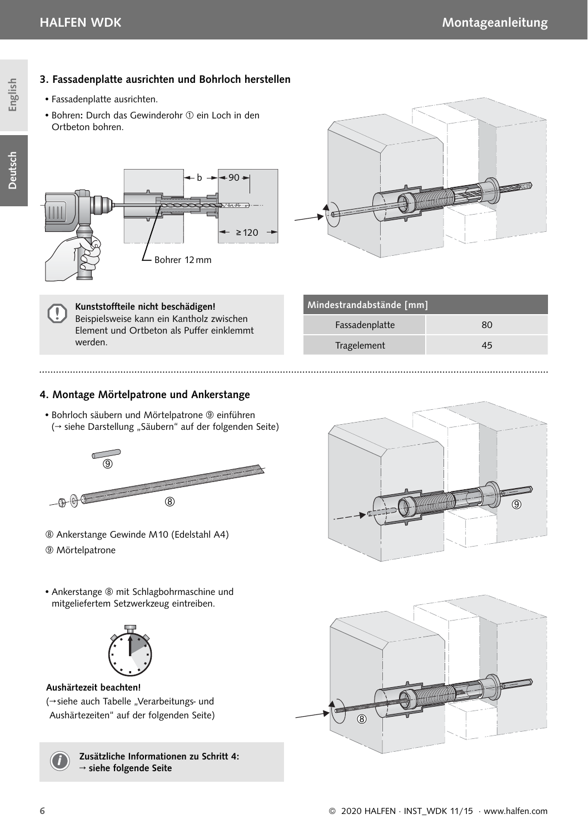# English Deutsch English

Deutsch

- 3. Fassadenplatte ausrichten und Bohrloch herstellen
	- Fassadenplatte ausrichten.
- Bohren: Durch das Gewinderohr  $\textcircled{\scriptsize{1}}$  ein Loch in den Ortbeton bohren.





Kunststoffteile nicht beschädigen! Beispielsweise kann ein Kantholz zwischen Element und Ortbeton als Puffer einklemmt werden.

| Mindestrandabstände [mm] |    |  |
|--------------------------|----|--|
| Fassadenplatte           | 80 |  |
| Tragelement              | 45 |  |
|                          |    |  |

# 4. Montage Mörtelpatrone und Ankerstange

• Bohrloch säubern und Mörtelpatrone <sup>®</sup> einführen (→ siehe Darstellung "Säubern" auf der folgenden Seite)



- Ankerstange Gewinde M10 (Edelstahl A4)
- Mörtelpatrone

Į

**THE REAL** ൫

• Ankerstange ® mit Schlagbohrmaschine und mitgeliefertem Setzwerkzeug eintreiben.



# Aushärtezeit beachten!

(→ siehe auch Tabelle "Verarbeitungs- und Aushärtezeiten" auf der folgenden Seite)



Zusätzliche Informationen zu Schritt 4: <sup>→</sup> siehe folgende Seite *<sup>i</sup>*

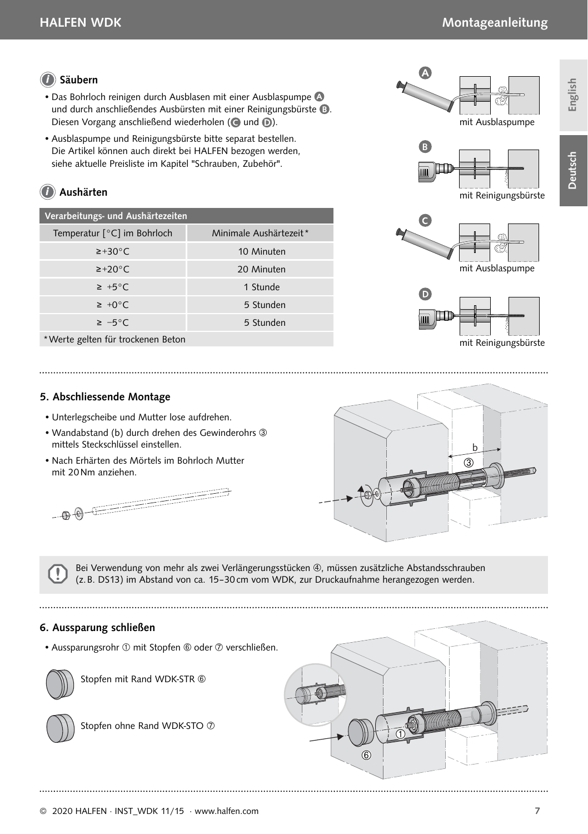# Säubern *i*

- Das Bohrloch reinigen durch Ausblasen mit einer Ausblaspumpe und durch anschließendes Ausbürsten mit einer Reinigungsbürste <sup>6</sup>. Diesen Vorgang anschließend wiederholen ( $\bigcirc$  und  $\bigcirc$ ).
- Ausblaspumpe und Reinigungsbürste bitte separat bestellen. Die Artikel können auch direkt bei HALFEN bezogen werden, siehe aktuelle Preisliste im Kapitel "Schrauben, Zubehör".

# *i* Aushärten

| Verarbeitungs- und Aushärtezeiten |                        |  |
|-----------------------------------|------------------------|--|
| Temperatur [°C] im Bohrloch       | Minimale Aushärtezeit* |  |
| $\geq$ +30 $\degree$ C.           | 10 Minuten             |  |
| $\geq$ +20 $\degree$ C.           | 20 Minuten             |  |
| $\geq +5^{\circ}$ C               | 1 Stunde               |  |
| $\geq +0^{\circ}$ C               | 5 Stunden              |  |
| $\geq -5^{\circ}$ C               | 5 Stunden              |  |
| *Werte gelten für trockenen Beton |                        |  |

 $\overline{\mathbb{A}}$ 

mit Ausblaspumpe



mit Reinigungsbürste





mit Reinigungsbürste

#### 5. Abschliessende Montage

- Unterlegscheibe und Mutter lose aufdrehen.
- Wandabstand (b) durch drehen des Gewinderohrs mittels Steckschlüssel einstellen.
- Nach Erhärten des Mörtels im Bohrloch Mutter mit 20 Nm anziehen.





Bei Verwendung von mehr als zwei Verlängerungsstücken (4), müssen zusätzliche Abstandsschrauben (z. B. DS13) im Abstand von ca. 15–30 cm vom WDK, zur Druckaufnahme herangezogen werden.

#### 6. Aussparung schließen

• Aussparungsrohr  $\textcircled{1}$  mit Stopfen  $\textcircled{1}$  oder  $\textcircled{2}$  verschließen.



Stopfen mit Rand WDK-STR



Stopfen ohne Rand WDK-STO